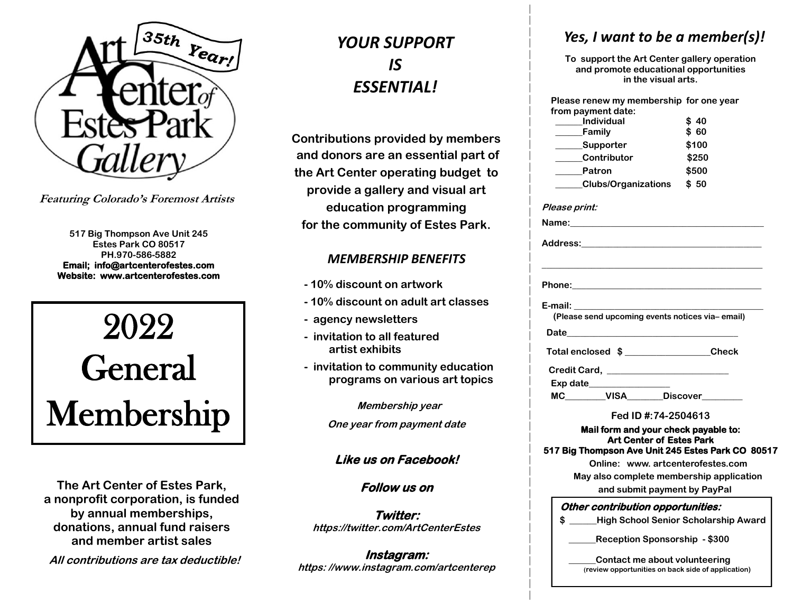

**Featuring Colorado's Foremost Artists**

**517 Big Thompson Ave Unit 245 Estes Park CO 80517 PH.970-586-5882 Email; info@artcenterofestes.com Website: www.artcenterofestes.com** 



**The Art Center of Estes Park, a nonprofit corporation, is funded by annual memberships, donations, annual fund raisers and member artist sales**

 **All contributions are tax deductible!**

# *YOUR SUPPORT IS ESSENTIAL!*

**Contributions provided by members and donors are an essential part of the Art Center operating budget to provide a gallery and visual art education programming for the community of Estes Park.**

### *MEMBERSHIP BENEFITS*

- **- 10% discount on artwork**
- **- 10% discount on adult art classes**
- **agency newsletters**
- **invitation to all featured artist exhibits**
- **invitation to community education programs on various art topics**

 **Membership year** 

**One year from payment date**

### **Like us on Facebook!**

**Follow us on** 

**Twitter: https://twitter.com/ArtCenterEstes**

**Instagram: https: //www.instagram.com/artcenterep**

# *Yes, I want to be a member(s)!*

**To support the Art Center gallery operation and promote educational opportunities in the visual arts.** 

| Please renew my membership for one year |       |
|-----------------------------------------|-------|
| from payment date:                      |       |
| <b>Individual</b>                       | \$40  |
| Family                                  | \$60  |
| Supporter                               | \$100 |
| Contributor                             | \$250 |
| Patron                                  | \$500 |
| <b>Clubs/Organizations</b>              | 50    |

#### **Please print:**

| | | | | | | | | | | | | | | | | | | | | | | | | | | | | | | | | | | | | | | | | | | | | | | | | | | | |

|                                        | and the control of the control of the control of the control of the control of the control of the control of the |
|----------------------------------------|------------------------------------------------------------------------------------------------------------------|
|                                        |                                                                                                                  |
|                                        |                                                                                                                  |
|                                        | (Please send upcoming events notices via-email)                                                                  |
|                                        |                                                                                                                  |
| Total enclosed \$________________Check |                                                                                                                  |
| Credit Card, ________________________  |                                                                                                                  |
| Exp date__________________             |                                                                                                                  |
|                                        | MC VISA Discover                                                                                                 |
|                                        | Fed ID #:74-2504613                                                                                              |
|                                        | Mail form and your check payable to:<br><b>Art Center of Estes Park</b>                                          |
|                                        | 517 Big Thompson Ave Unit 245 Estes Park CO 80517<br>Online: www.artconterofectes.com                            |

 **Online: www. artcenterofestes.com May also complete membership application and submit payment by PayPal**

#### **Other contribution opportunities:**

 **\$ \_\_\_\_\_\_High School Senior Scholarship Award**

 **\_\_\_\_\_\_Reception Sponsorship - \$300**

**Contact me about volunteering (review opportunities on back side of application)**